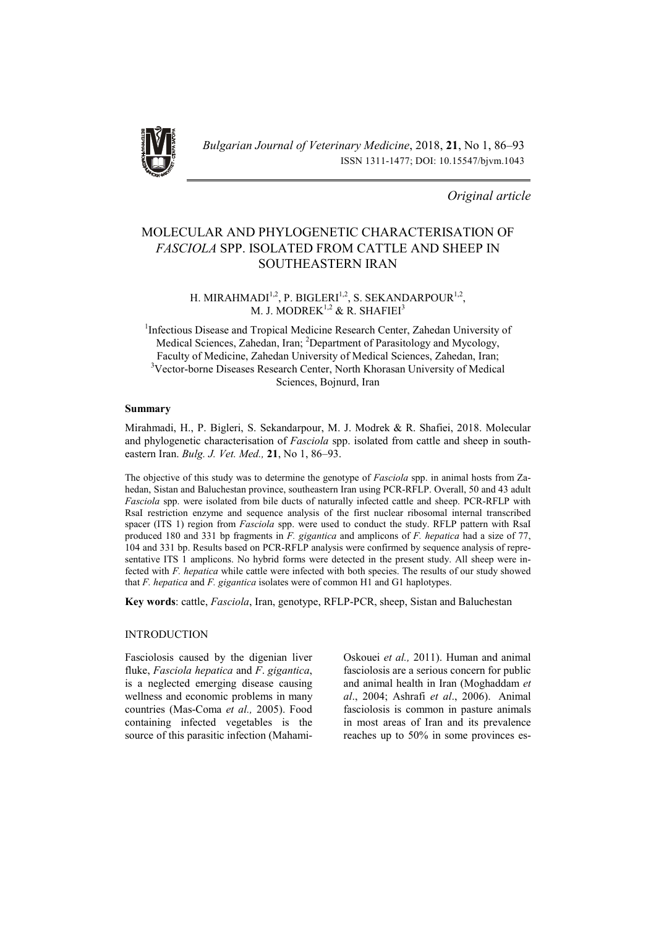

*Bulgarian Journal of Veterinary Medicine*, 2018, 21, No 1, 86–93 ISSN 1311-1477; DOI: 10.15547/bjvm.1043

*Original article*

# MOLECULAR AND PHYLOGENETIC CHARACTERISATION OF *FASCIOLA* SPP. ISOLATED FROM CATTLE AND SHEEP IN SOUTHEASTERN IRAN

H. MIRAHMADI<sup>1,2</sup>, P. BIGLERI<sup>1,2</sup>, S. SEKANDARPOUR<sup>1,2</sup>, M. J. MODREK<sup>1,2</sup> & R. SHAFIEI<sup>3</sup>

<sup>1</sup>Infectious Disease and Tropical Medicine Research Center, Zahedan University of Medical Sciences, Zahedan, Iran; <sup>2</sup>Department of Parasitology and Mycology, Faculty of Medicine, Zahedan University of Medical Sciences, Zahedan, Iran; <sup>3</sup>Vector-borne Diseases Research Center, North Khorasan University of Medical Sciences, Bojnurd, Iran

### Summary

Mirahmadi, H., P. Bigleri, S. Sekandarpour, M. J. Modrek & R. Shafiei, 2018. Molecular and phylogenetic characterisation of *Fasciola* spp. isolated from cattle and sheep in southeastern Iran. *Bulg. J. Vet. Med.,* 21, No 1, 86–93.

The objective of this study was to determine the genotype of *Fasciola* spp. in animal hosts from Zahedan, Sistan and Baluchestan province, southeastern Iran using PCR-RFLP. Overall, 50 and 43 adult *Fasciola* spp. were isolated from bile ducts of naturally infected cattle and sheep. PCR-RFLP with RsaI restriction enzyme and sequence analysis of the first nuclear ribosomal internal transcribed spacer (ITS 1) region from *Fasciola* spp. were used to conduct the study. RFLP pattern with RsaI produced 180 and 331 bp fragments in *F. gigantica* and amplicons of *F. hepatica* had a size of 77, 104 and 331 bp. Results based on PCR-RFLP analysis were confirmed by sequence analysis of representative ITS 1 amplicons. No hybrid forms were detected in the present study. All sheep were infected with *F. hepatica* while cattle were infected with both species. The results of our study showed that *F. hepatica* and *F. gigantica* isolates were of common H1 and G1 haplotypes.

Key words: cattle, *Fasciola*, Iran, genotype, RFLP-PCR, sheep, Sistan and Baluchestan

### INTRODUCTION

Fasciolosis caused by the digenian liver fluke, *Fasciola hepatica* and *F*. *gigantica*, is a neglected emerging disease causing wellness and economic problems in many countries (Mas-Coma *et al.,* 2005). Food containing infected vegetables is the source of this parasitic infection (MahamiOskouei *et al.,* 2011). Human and animal fasciolosis are a serious concern for public and animal health in Iran (Moghaddam *et al*., 2004; Ashrafi *et al*., 2006). Animal fasciolosis is common in pasture animals in most areas of Iran and its prevalence reaches up to 50% in some provinces es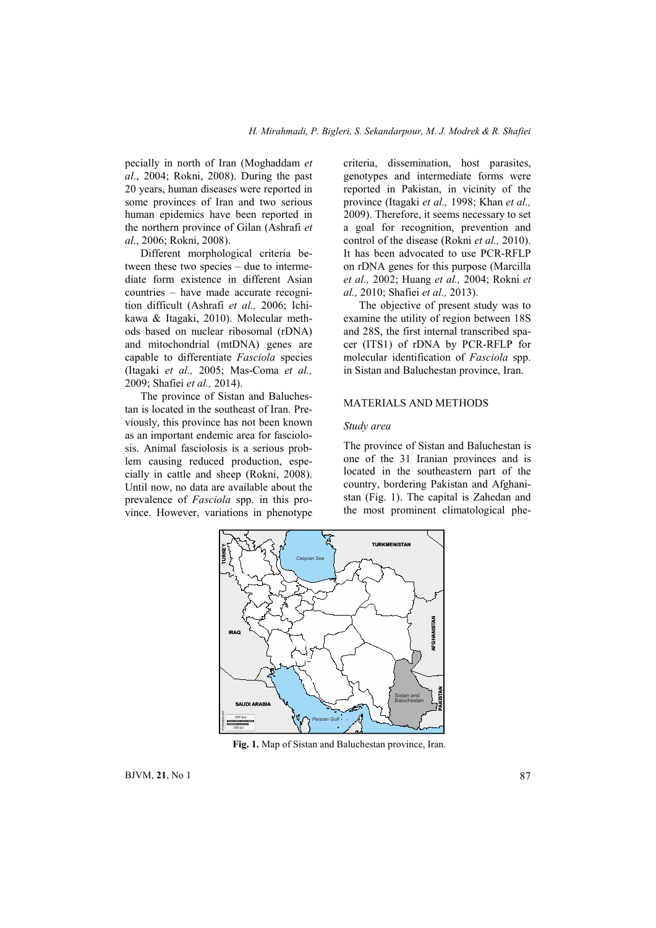pecially in north of Iran (Moghaddam *et al*., 2004; Rokni, 2008). During the past 20 years, human diseases were reported in some provinces of Iran and two serious human epidemics have been reported in the northern province of Gilan (Ashrafi *et al*., 2006; Rokni, 2008).

Different morphological criteria between these two species – due to intermediate form existence in different Asian countries – have made accurate recognition difficult (Ashrafi *et al.,* 2006; Ichikawa & Itagaki, 2010). Molecular methods based on nuclear ribosomal (rDNA) and mitochondrial (mtDNA) genes are capable to differentiate *Fasciola* species (Itagaki *et al.,* 2005; Mas-Coma *et al.,* 2009; Shafiei *et al.,* 2014).

The province of Sistan and Baluchestan is located in the southeast of Iran. Previously, this province has not been known as an important endemic area for fasciolosis. Animal fasciolosis is a serious problem causing reduced production, especially in cattle and sheep (Rokni, 2008). Until now, no data are available about the prevalence of *Fasciola* spp. in this province. However, variations in phenotype

criteria, dissemination, host parasites, genotypes and intermediate forms were reported in Pakistan, in vicinity of the province (Itagaki *et al.,* 1998; Khan *et al.,* 2009). Therefore, it seems necessary to set a goal for recognition, prevention and control of the disease (Rokni *et al.,* 2010). It has been advocated to use PCR-RFLP on rDNA genes for this purpose (Marcilla *et al.,* 2002; Huang *et al.,* 2004; Rokni *et al.,* 2010; Shafiei *et al.,* 2013).

The objective of present study was to examine the utility of region between 18S and 28S, the first internal transcribed spacer (ITS1) of rDNA by PCR-RFLP for molecular identification of *Fasciola* spp. in Sistan and Baluchestan province, Iran.

# MATERIALS AND METHODS

### *Study area*

The province of Sistan and Baluchestan is one of the 31 Iranian provinces and is located in the southeastern part of the country, bordering Pakistan and Afghanistan (Fig. 1). The capital is Zahedan and the most prominent climatological phe-



Fig. 1. Map of Sistan and Baluchestan province, Iran.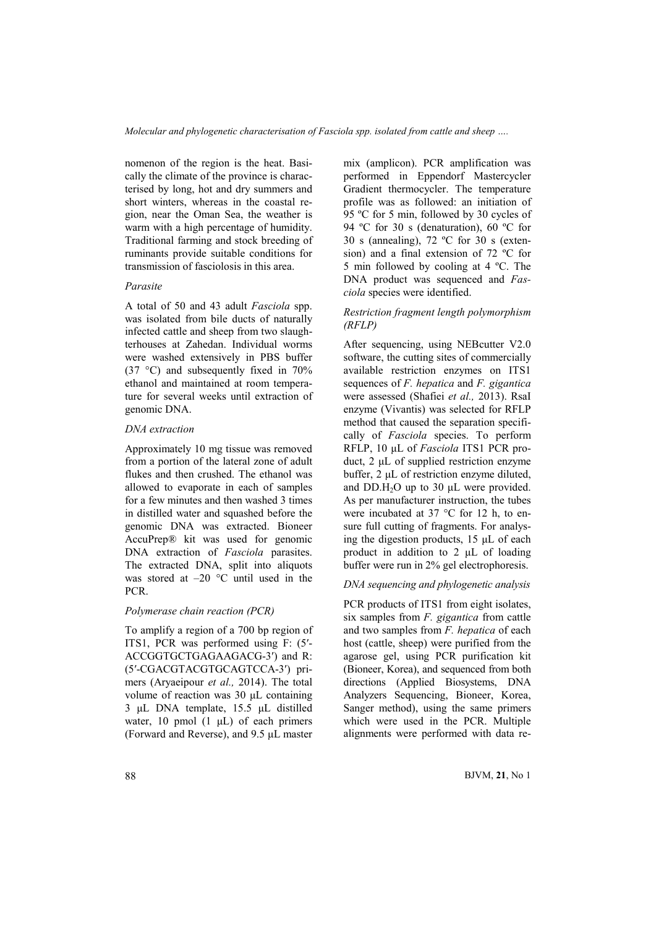nomenon of the region is the heat. Basically the climate of the province is characterised by long, hot and dry summers and short winters, whereas in the coastal region, near the Oman Sea, the weather is warm with a high percentage of humidity. Traditional farming and stock breeding of ruminants provide suitable conditions for transmission of fasciolosis in this area.

### *Parasite*

A total of 50 and 43 adult *Fasciola* spp. was isolated from bile ducts of naturally infected cattle and sheep from two slaughterhouses at Zahedan. Individual worms were washed extensively in PBS buffer (37 °C) and subsequently fixed in 70% ethanol and maintained at room temperature for several weeks until extraction of genomic DNA.

### *DNA extraction*

Approximately 10 mg tissue was removed from a portion of the lateral zone of adult flukes and then crushed. The ethanol was allowed to evaporate in each of samples for a few minutes and then washed 3 times in distilled water and squashed before the genomic DNA was extracted. Bioneer AccuPrep® kit was used for genomic DNA extraction of *Fasciola* parasites. The extracted DNA, split into aliquots was stored at  $-20$  °C until used in the PCR.

# *Polymerase chain reaction (PCR)*

To amplify a region of a 700 bp region of ITS1, PCR was performed using F: (5′- ACCGGTGCTGAGAAGACG-3′) and R: (5′-CGACGTACGTGCAGTCCA-3′) primers (Aryaeipour *et al.,* 2014). The total volume of reaction was 30 μL containing 3 μL DNA template, 15.5 μL distilled water, 10 pmol  $(1 \mu L)$  of each primers (Forward and Reverse), and 9.5 μL master mix (amplicon). PCR amplification was performed in Eppendorf Mastercycler Gradient thermocycler. The temperature profile was as followed: an initiation of 95 ºC for 5 min, followed by 30 cycles of 94 ºC for 30 s (denaturation), 60 ºC for 30 s (annealing), 72 ºC for 30 s (extension) and a final extension of 72 ºC for 5 min followed by cooling at 4 ºC. The DNA product was sequenced and *Fasciola* species were identified.

# *Restriction fragment length polymorphism (RFLP)*

After sequencing, using NEBcutter V2.0 software, the cutting sites of commercially available restriction enzymes on ITS1 sequences of *F. hepatica* and *F. gigantica* were assessed (Shafiei *et al.,* 2013). RsaI enzyme (Vivantis) was selected for RFLP method that caused the separation specifically of *Fasciola* species. To perform RFLP, 10 μL of *Fasciola* ITS1 PCR product, 2 μL of supplied restriction enzyme buffer, 2 μL of restriction enzyme diluted, and  $DD.H_2O$  up to 30  $\mu$ L were provided. As per manufacturer instruction, the tubes were incubated at 37 °C for 12 h, to ensure full cutting of fragments. For analysing the digestion products, 15 μL of each product in addition to 2 μL of loading buffer were run in 2% gel electrophoresis.

# *DNA sequencing and phylogenetic analysis*

PCR products of ITS1 from eight isolates, six samples from *F. gigantica* from cattle and two samples from *F. hepatica* of each host (cattle, sheep) were purified from the agarose gel, using PCR purification kit (Bioneer, Korea), and sequenced from both directions (Applied Biosystems, DNA Analyzers Sequencing, Bioneer, Korea, Sanger method), using the same primers which were used in the PCR. Multiple alignments were performed with data re-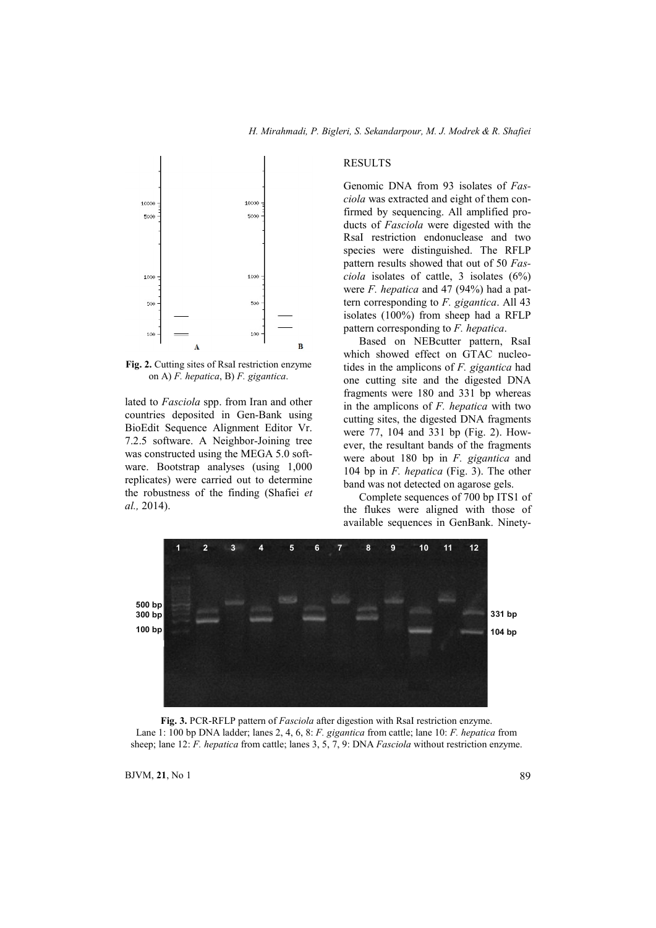

Fig. 2. Cutting sites of RsaI restriction enzyme on A) *F. hepatica*, B) *F. gigantica*.

lated to *Fasciola* spp. from Iran and other countries deposited in Gen-Bank using BioEdit Sequence Alignment Editor Vr. 7.2.5 software. A Neighbor-Joining tree was constructed using the MEGA 5.0 software. Bootstrap analyses (using 1,000 replicates) were carried out to determine the robustness of the finding (Shafiei *et al.,* 2014).

#### RESULTS

Genomic DNA from 93 isolates of *Fasciola* was extracted and eight of them confirmed by sequencing. All amplified products of *Fasciola* were digested with the RsaI restriction endonuclease and two species were distinguished. The RFLP pattern results showed that out of 50 *Fasciola* isolates of cattle, 3 isolates (6%) were *F. hepatica* and 47 (94%) had a pattern corresponding to *F. gigantica*. All 43 isolates (100%) from sheep had a RFLP pattern corresponding to *F. hepatica*.

Based on NEBcutter pattern, RsaI which showed effect on GTAC nucleotides in the amplicons of *F. gigantica* had one cutting site and the digested DNA fragments were 180 and 331 bp whereas in the amplicons of *F. hepatica* with two cutting sites, the digested DNA fragments were 77, 104 and 331 bp (Fig. 2). However, the resultant bands of the fragments were about 180 bp in *F. gigantica* and 104 bp in *F. hepatica* (Fig. 3). The other band was not detected on agarose gels.

Complete sequences of 700 bp ITS1 of the flukes were aligned with those of available sequences in GenBank. Ninety-



Fig. 3. PCR-RFLP pattern of *Fasciola* after digestion with RsaI restriction enzyme. Lane 1: 100 bp DNA ladder; lanes 2, 4, 6, 8: *F. gigantica* from cattle; lane 10: *F. hepatica* from sheep; lane 12: *F. hepatica* from cattle; lanes 3, 5, 7, 9: DNA *Fasciola* without restriction enzyme.

 $BJVM$ , 21, No 1 89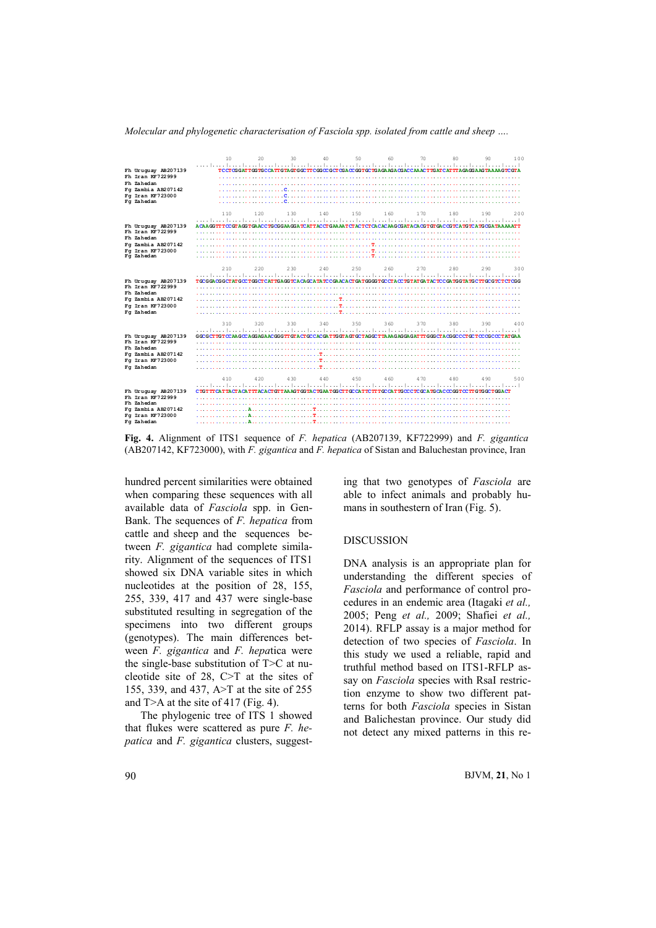

*Molecular and phylogenetic characterisation of Fasciola spp. isolated from cattle and sheep ….*

Fig. 4. Alignment of ITS1 sequence of *F. hepatica* (AB207139, KF722999) and *F. gigantica* (AB207142, KF723000), with *F. gigantica* and *F. hepatica* of Sistan and Baluchestan province, Iran

hundred percent similarities were obtained when comparing these sequences with all available data of *Fasciola* spp. in Gen-Bank. The sequences of *F. hepatica* from cattle and sheep and the sequences between *F. gigantica* had complete similarity. Alignment of the sequences of ITS1 showed six DNA variable sites in which nucleotides at the position of 28, 155, 255, 339, 417 and 437 were single-base substituted resulting in segregation of the specimens into two different groups (genotypes). The main differences between *F. gigantica* and *F. hepa*tica were the single-base substitution of T>C at nucleotide site of 28, C>T at the sites of 155, 339, and 437, A>T at the site of 255 and T>A at the site of 417 (Fig. 4).

The phylogenic tree of ITS 1 showed that flukes were scattered as pure *F. hepatica* and *F. gigantica* clusters, suggesting that two genotypes of *Fasciola* are able to infect animals and probably humans in southestern of Iran (Fig. 5).

#### DISCUSSION

DNA analysis is an appropriate plan for understanding the different species of *Fasciola* and performance of control procedures in an endemic area (Itagaki *et al.,* 2005; Peng *et al.,* 2009; Shafiei *et al.,* 2014). RFLP assay is a major method for detection of two species of *Fasciola*. In this study we used a reliable, rapid and truthful method based on ITS1-RFLP assay on *Fasciola* species with RsaI restriction enzyme to show two different patterns for both *Fasciola* species in Sistan and Balichestan province. Our study did not detect any mixed patterns in this re-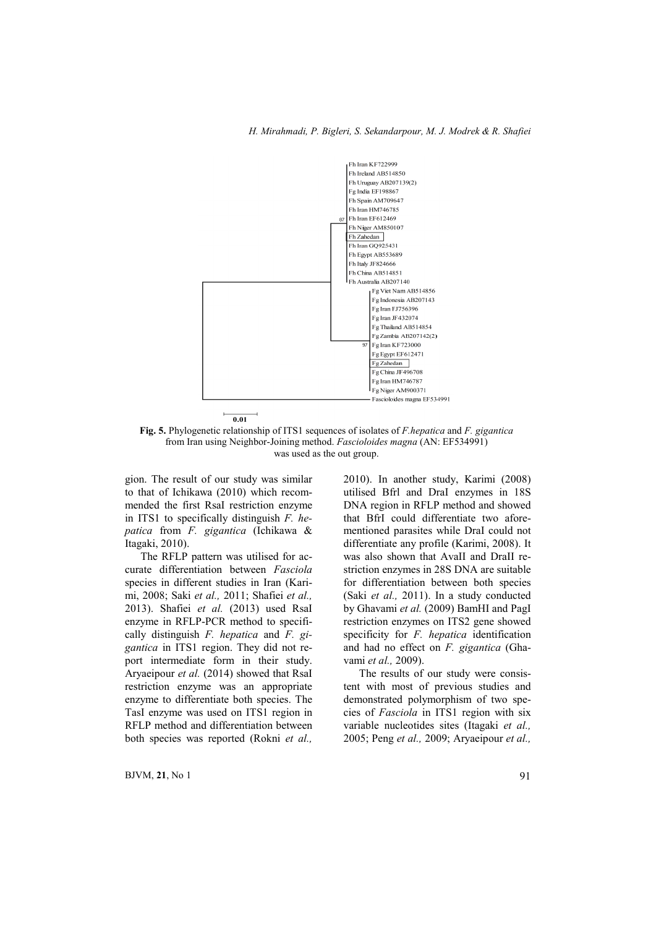

Fig. 5. Phylogenetic relationship of ITS1 sequences of isolates of *F.hepatica* and *F. gigantica* from Iran using Neighbor-Joining method. *Fascioloides magna* (AN: EF534991) was used as the out group.

gion. The result of our study was similar to that of Ichikawa (2010) which recommended the first RsaI restriction enzyme in ITS1 to specifically distinguish *F. hepatica* from *F. gigantica* (Ichikawa & Itagaki, 2010).

The RFLP pattern was utilised for accurate differentiation between *Fasciola* species in different studies in Iran (Karimi, 2008; Saki *et al.,* 2011; Shafiei *et al.,* 2013). Shafiei *et al.* (2013) used RsaI enzyme in RFLP-PCR method to specifically distinguish *F. hepatica* and *F. gigantica* in ITS1 region. They did not report intermediate form in their study. Aryaeipour *et al.* (2014) showed that RsaI restriction enzyme was an appropriate enzyme to differentiate both species. The TasI enzyme was used on ITS1 region in RFLP method and differentiation between both species was reported (Rokni *et al.,* 2010). In another study, Karimi (2008) utilised Bfrl and DraI enzymes in 18S DNA region in RFLP method and showed that BfrI could differentiate two aforementioned parasites while DraI could not differentiate any profile (Karimi, 2008). It was also shown that AvaII and DraII restriction enzymes in 28S DNA are suitable for differentiation between both species (Saki *et al.,* 2011). In a study conducted by Ghavami *et al.* (2009) BamHI and PagI restriction enzymes on ITS2 gene showed specificity for *F. hepatica* identification and had no effect on *F. gigantica* (Ghavami *et al.,* 2009).

The results of our study were consistent with most of previous studies and demonstrated polymorphism of two species of *Fasciola* in ITS1 region with six variable nucleotides sites (Itagaki *et al.,* 2005; Peng *et al.,* 2009; Aryaeipour *et al.,*

 $BJVM$ , 21, No 1 91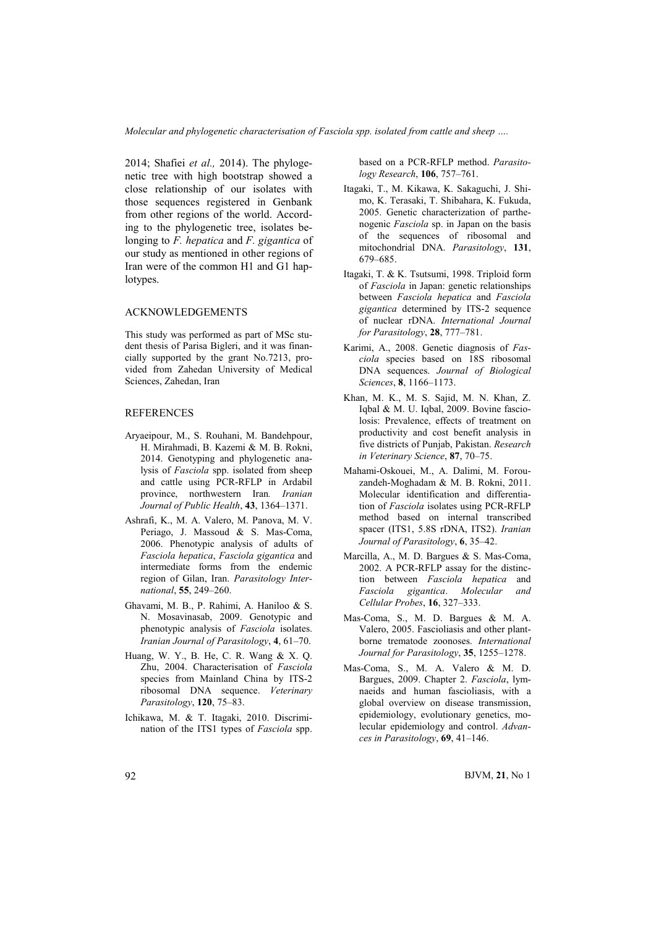*Molecular and phylogenetic characterisation of Fasciola spp. isolated from cattle and sheep ….*

2014; Shafiei *et al.,* 2014). The phylogenetic tree with high bootstrap showed a close relationship of our isolates with those sequences registered in Genbank from other regions of the world. According to the phylogenetic tree, isolates belonging to *F. hepatica* and *F. gigantica* of our study as mentioned in other regions of Iran were of the common H1 and G1 haplotypes.

### ACKNOWLEDGEMENTS

This study was performed as part of MSc student thesis of Parisa Bigleri, and it was financially supported by the grant No.7213, provided from Zahedan University of Medical Sciences, Zahedan, Iran

### REFERENCES

- Aryaeipour, M., S. Rouhani, M. Bandehpour, H. Mirahmadi, B. Kazemi & M. B. Rokni, 2014. Genotyping and phylogenetic analysis of *Fasciola* spp. isolated from sheep and cattle using PCR-RFLP in Ardabil province, northwestern Iran*. Iranian Journal of Public Health*, 43, 1364–1371.
- Ashrafi, K., M. A. Valero, M. Panova, M. V. Periago, J. Massoud & S. Mas-Coma, 2006. Phenotypic analysis of adults of *Fasciola hepatica*, *Fasciola gigantica* and intermediate forms from the endemic region of Gilan, Iran. *Parasitology International*, 55, 249–260.
- Ghavami, M. B., P. Rahimi, A. Haniloo & S. N. Mosavinasab, 2009. Genotypic and phenotypic analysis of *Fasciola* isolates. *Iranian Journal of Parasitology*, 4, 61–70.
- Huang, W. Y., B. He, C. R. Wang & X. Q. Zhu, 2004. Characterisation of *Fasciola* species from Mainland China by ITS-2 ribosomal DNA sequence. *Veterinary Parasitology*, 120, 75–83.
- Ichikawa, M. & T. Itagaki, 2010. Discrimination of the ITS1 types of *Fasciola* spp.

based on a PCR-RFLP method. *Parasitology Research*, 106, 757–761.

- Itagaki, T., M. Kikawa, K. Sakaguchi, J. Shimo, K. Terasaki, T. Shibahara, K. Fukuda, 2005. Genetic characterization of parthenogenic *Fasciola* sp. in Japan on the basis of the sequences of ribosomal and mitochondrial DNA. *Parasitology*, 131, 679–685.
- Itagaki, T. & K. Tsutsumi, 1998. Triploid form of *Fasciola* in Japan: genetic relationships between *Fasciola hepatica* and *Fasciola gigantica* determined by ITS-2 sequence of nuclear rDNA. *International Journal for Parasitology*, 28, 777–781.
- Karimi, A., 2008. Genetic diagnosis of *Fasciola* species based on 18S ribosomal DNA sequences. *Journal of Biological Sciences*, 8, 1166–1173.
- Khan, M. K., M. S. Sajid, M. N. Khan, Z. Iqbal & M. U. Iqbal, 2009. Bovine fasciolosis: Prevalence, effects of treatment on productivity and cost benefit analysis in five districts of Punjab, Pakistan. *Research in Veterinary Science*, 87, 70–75.
- Mahami-Oskouei, M., A. Dalimi, M. Forouzandeh-Moghadam & M. B. Rokni, 2011. Molecular identification and differentiation of *Fasciola* isolates using PCR-RFLP method based on internal transcribed spacer (ITS1, 5.8S rDNA, ITS2). *Iranian Journal of Parasitology*, 6, 35–42.
- Marcilla, A., M. D. Bargues & S. Mas-Coma, 2002. A PCR-RFLP assay for the distinction between *Fasciola hepatica* and *Fasciola gigantica*. *Molecular and Cellular Probes*, 16, 327–333.
- Mas-Coma, S., M. D. Bargues & M. A. Valero, 2005. Fascioliasis and other plantborne trematode zoonoses. *International Journal for Parasitology*, 35, 1255–1278.
- Mas-Coma, S., M. A. Valero & M. D. Bargues, 2009. Chapter 2. *Fasciola*, lymnaeids and human fascioliasis, with a global overview on disease transmission, epidemiology, evolutionary genetics, molecular epidemiology and control. *Advances in Parasitology*, 69, 41–146.